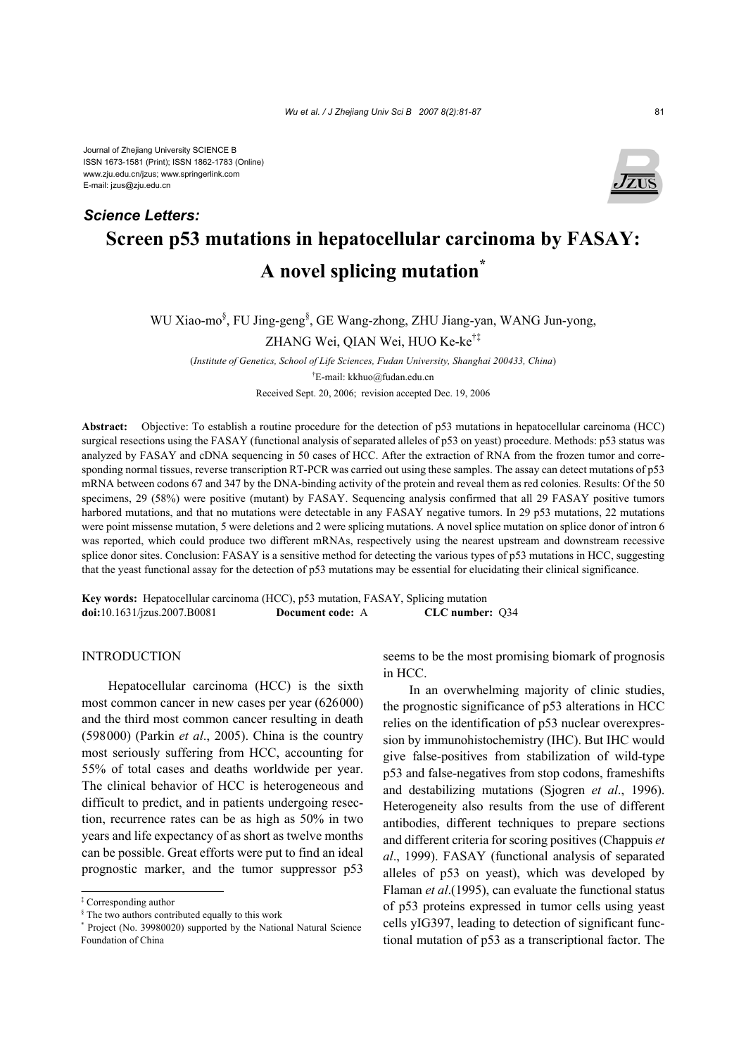Journal of Zhejiang University SCIENCE B ISSN 1673-1581 (Print); ISSN 1862-1783 (Online) www.zju.edu.cn/jzus; www.springerlink.com E-mail: jzus@zju.edu.cn

*Science Letters:*



# **Screen p53 mutations in hepatocellular carcinoma by FASAY: A novel splicing mutation\***

WU Xiao-mo§ , FU Jing-geng§ , GE Wang-zhong, ZHU Jiang-yan, WANG Jun-yong, ZHANG Wei, QIAN Wei, HUO Ke-ke†‡

(*Institute of Genetics, School of Life Sciences, Fudan University, Shanghai 200433, China*) † E-mail: kkhuo@fudan.edu.cn Received Sept. 20, 2006; revision accepted Dec. 19, 2006

**Abstract:** Objective: To establish a routine procedure for the detection of p53 mutations in hepatocellular carcinoma (HCC) surgical resections using the FASAY (functional analysis of separated alleles of p53 on yeast) procedure. Methods: p53 status was analyzed by FASAY and cDNA sequencing in 50 cases of HCC. After the extraction of RNA from the frozen tumor and corresponding normal tissues, reverse transcription RT-PCR was carried out using these samples. The assay can detect mutations of p53 mRNA between codons 67 and 347 by the DNA-binding activity of the protein and reveal them as red colonies. Results: Of the 50 specimens, 29 (58%) were positive (mutant) by FASAY. Sequencing analysis confirmed that all 29 FASAY positive tumors harbored mutations, and that no mutations were detectable in any FASAY negative tumors. In 29 p53 mutations, 22 mutations were point missense mutation, 5 were deletions and 2 were splicing mutations. A novel splice mutation on splice donor of intron 6 was reported, which could produce two different mRNAs, respectively using the nearest upstream and downstream recessive splice donor sites. Conclusion: FASAY is a sensitive method for detecting the various types of p53 mutations in HCC, suggesting that the yeast functional assay for the detection of p53 mutations may be essential for elucidating their clinical significance.

**Key words:** Hepatocellular carcinoma (HCC), p53 mutation, FASAY, Splicing mutation **doi:**10.1631/jzus.2007.B0081 **Document code:** A **CLC number:** Q34

## INTRODUCTION

Hepatocellular carcinoma (HCC) is the sixth most common cancer in new cases per year (626000) and the third most common cancer resulting in death (598000) (Parkin *et al*., 2005). China is the country most seriously suffering from HCC, accounting for 55% of total cases and deaths worldwide per year. The clinical behavior of HCC is heterogeneous and difficult to predict, and in patients undergoing resection, recurrence rates can be as high as 50% in two years and life expectancy of as short as twelve months can be possible. Great efforts were put to find an ideal prognostic marker, and the tumor suppressor p53

seems to be the most promising biomark of prognosis in HCC.

In an overwhelming majority of clinic studies, the prognostic significance of p53 alterations in HCC relies on the identification of p53 nuclear overexpression by immunohistochemistry (IHC). But IHC would give false-positives from stabilization of wild-type p53 and false-negatives from stop codons, frameshifts and destabilizing mutations (Sjogren *et al*., 1996). Heterogeneity also results from the use of different antibodies, different techniques to prepare sections and different criteria for scoring positives (Chappuis *et al*., 1999). FASAY (functional analysis of separated alleles of p53 on yeast), which was developed by Flaman *et al*.(1995), can evaluate the functional status of p53 proteins expressed in tumor cells using yeast cells yIG397, leading to detection of significant functional mutation of p53 as a transcriptional factor. The

<sup>‡</sup> Corresponding author

<sup>§</sup> The two authors contributed equally to this work

<sup>\*</sup> Project (No. 39980020) supported by the National Natural Science Foundation of China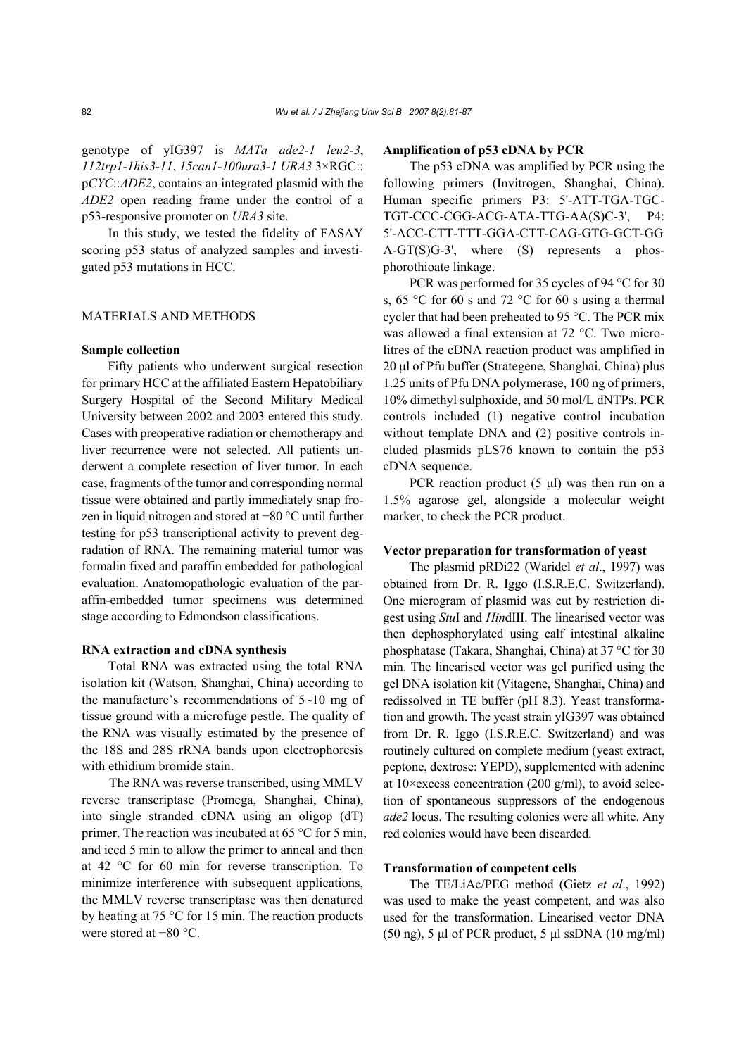genotype of yIG397 is *MATa ade2-1 leu2-3*, *112trp1-1his3-11*, *15can1-100ura3-1 URA3* 3×RGC:: p*CYC*::*ADE2*, contains an integrated plasmid with the *ADE2* open reading frame under the control of a p53-responsive promoter on *URA3* site.

In this study, we tested the fidelity of FASAY scoring p53 status of analyzed samples and investigated p53 mutations in HCC.

#### MATERIALS AND METHODS

## **Sample collection**

Fifty patients who underwent surgical resection for primary HCC at the affiliated Eastern Hepatobiliary Surgery Hospital of the Second Military Medical University between 2002 and 2003 entered this study. Cases with preoperative radiation or chemotherapy and liver recurrence were not selected. All patients underwent a complete resection of liver tumor. In each case, fragments of the tumor and corresponding normal tissue were obtained and partly immediately snap frozen in liquid nitrogen and stored at −80 °C until further testing for p53 transcriptional activity to prevent degradation of RNA. The remaining material tumor was formalin fixed and paraffin embedded for pathological evaluation. Anatomopathologic evaluation of the paraffin-embedded tumor specimens was determined stage according to Edmondson classifications.

## **RNA extraction and cDNA synthesis**

Total RNA was extracted using the total RNA isolation kit (Watson, Shanghai, China) according to the manufacture's recommendations of 5~10 mg of tissue ground with a microfuge pestle. The quality of the RNA was visually estimated by the presence of the 18S and 28S rRNA bands upon electrophoresis with ethidium bromide stain.

The RNA was reverse transcribed, using MMLV reverse transcriptase (Promega, Shanghai, China), into single stranded cDNA using an oligop (dT) primer. The reaction was incubated at 65 °C for 5 min, and iced 5 min to allow the primer to anneal and then at 42 °C for 60 min for reverse transcription. To minimize interference with subsequent applications, the MMLV reverse transcriptase was then denatured by heating at 75 °C for 15 min. The reaction products were stored at −80 °C.

#### **Amplification of p53 cDNA by PCR**

The p53 cDNA was amplified by PCR using the following primers (Invitrogen, Shanghai, China). Human specific primers P3: 5'-ATT-TGA-TGC-TGT-CCC-CGG-ACG-ATA-TTG-AA(S)C-3', P4: 5'-ACC-CTT-TTT-GGA-CTT-CAG-GTG-GCT-GG A-GT(S)G-3', where (S) represents a phosphorothioate linkage.

PCR was performed for 35 cycles of 94 °C for 30 s, 65 °C for 60 s and 72 °C for 60 s using a thermal cycler that had been preheated to 95 °C. The PCR mix was allowed a final extension at 72 °C. Two microlitres of the cDNA reaction product was amplified in 20 µl of Pfu buffer (Strategene, Shanghai, China) plus 1.25 units of Pfu DNA polymerase, 100 ng of primers, 10% dimethyl sulphoxide, and 50 mol/L dNTPs. PCR controls included (1) negative control incubation without template DNA and (2) positive controls included plasmids pLS76 known to contain the p53 cDNA sequence.

PCR reaction product  $(5 \mu l)$  was then run on a 1.5% agarose gel, alongside a molecular weight marker, to check the PCR product.

#### **Vector preparation for transformation of yeast**

The plasmid pRDi22 (Waridel *et al*., 1997) was obtained from Dr. R. Iggo (I.S.R.E.C. Switzerland). One microgram of plasmid was cut by restriction digest using *Stu*I and *Hin*dIII. The linearised vector was then dephosphorylated using calf intestinal alkaline phosphatase (Takara, Shanghai, China) at 37 °C for 30 min. The linearised vector was gel purified using the gel DNA isolation kit (Vitagene, Shanghai, China) and redissolved in TE buffer (pH 8.3). Yeast transformation and growth. The yeast strain yIG397 was obtained from Dr. R. Iggo (I.S.R.E.C. Switzerland) and was routinely cultured on complete medium (yeast extract, peptone, dextrose: YEPD), supplemented with adenine at 10×excess concentration (200 g/ml), to avoid selection of spontaneous suppressors of the endogenous *ade2* locus. The resulting colonies were all white. Any red colonies would have been discarded.

## **Transformation of competent cells**

The TE/LiAc/PEG method (Gietz *et al*., 1992) was used to make the yeast competent, and was also used for the transformation. Linearised vector DNA (50 ng), 5 µl of PCR product, 5 µl ssDNA (10 mg/ml)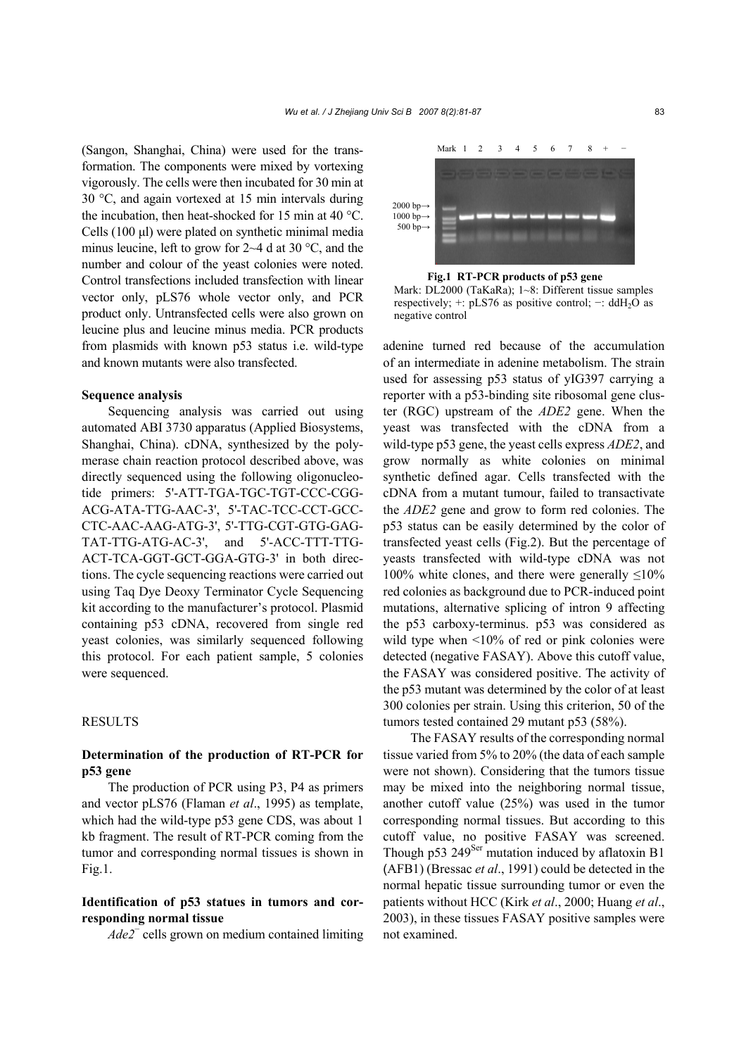(Sangon, Shanghai, China) were used for the transformation. The components were mixed by vortexing vigorously. The cells were then incubated for 30 min at 30 °C, and again vortexed at 15 min intervals during the incubation, then heat-shocked for 15 min at 40 °C. Cells (100 µl) were plated on synthetic minimal media minus leucine, left to grow for 2~4 d at 30 °C, and the number and colour of the yeast colonies were noted. Control transfections included transfection with linear vector only, pLS76 whole vector only, and PCR product only. Untransfected cells were also grown on leucine plus and leucine minus media. PCR products from plasmids with known p53 status i.e. wild-type and known mutants were also transfected.

#### **Sequence analysis**

Sequencing analysis was carried out using automated ABI 3730 apparatus (Applied Biosystems, Shanghai, China). cDNA, synthesized by the polymerase chain reaction protocol described above, was directly sequenced using the following oligonucleotide primers: 5'-ATT-TGA-TGC-TGT-CCC-CGG-ACG-ATA-TTG-AAC-3', 5'-TAC-TCC-CCT-GCC-CTC-AAC-AAG-ATG-3', 5'-TTG-CGT-GTG-GAG-TAT-TTG-ATG-AC-3', and 5'-ACC-TTT-TTG-ACT-TCA-GGT-GCT-GGA-GTG-3' in both directions. The cycle sequencing reactions were carried out using Taq Dye Deoxy Terminator Cycle Sequencing kit according to the manufacturer's protocol. Plasmid containing p53 cDNA, recovered from single red yeast colonies, was similarly sequenced following this protocol. For each patient sample, 5 colonies were sequenced.

## **RESULTS**

## **Determination of the production of RT-PCR for p53 gene**

The production of PCR using P3, P4 as primers and vector pLS76 (Flaman *et al*., 1995) as template, which had the wild-type p53 gene CDS, was about 1 kb fragment. The result of RT-PCR coming from the tumor and corresponding normal tissues is shown in Fig.1.

# **Identification of p53 statues in tumors and corresponding normal tissue**

*Ade2*<sup>−</sup> cells grown on medium contained limiting



**Fig.1 RT-PCR products of p53 gene**  Mark: DL2000 (TaKaRa); 1~8: Different tissue samples respectively; +: pLS76 as positive control;  $-$ : ddH<sub>2</sub>O as negative control

adenine turned red because of the accumulation of an intermediate in adenine metabolism. The strain used for assessing p53 status of yIG397 carrying a reporter with a p53-binding site ribosomal gene cluster (RGC) upstream of the *ADE2* gene. When the yeast was transfected with the cDNA from a wild-type p53 gene, the yeast cells express *ADE2*, and grow normally as white colonies on minimal synthetic defined agar. Cells transfected with the cDNA from a mutant tumour, failed to transactivate the *ADE2* gene and grow to form red colonies. The p53 status can be easily determined by the color of transfected yeast cells (Fig.2). But the percentage of yeasts transfected with wild-type cDNA was not 100% white clones, and there were generally  $\leq$ 10% red colonies as background due to PCR-induced point mutations, alternative splicing of intron 9 affecting the p53 carboxy-terminus. p53 was considered as wild type when  $\leq 10\%$  of red or pink colonies were detected (negative FASAY). Above this cutoff value, the FASAY was considered positive. The activity of the p53 mutant was determined by the color of at least 300 colonies per strain. Using this criterion, 50 of the tumors tested contained 29 mutant p53 (58%).

The FASAY results of the corresponding normal tissue varied from 5% to 20% (the data of each sample were not shown). Considering that the tumors tissue may be mixed into the neighboring normal tissue, another cutoff value (25%) was used in the tumor corresponding normal tissues. But according to this cutoff value, no positive FASAY was screened. Though p53 249<sup>Ser</sup> mutation induced by aflatoxin B1 (AFB1) (Bressac *et al*., 1991) could be detected in the normal hepatic tissue surrounding tumor or even the patients without HCC (Kirk *et al*., 2000; Huang *et al*., 2003), in these tissues FASAY positive samples were not examined.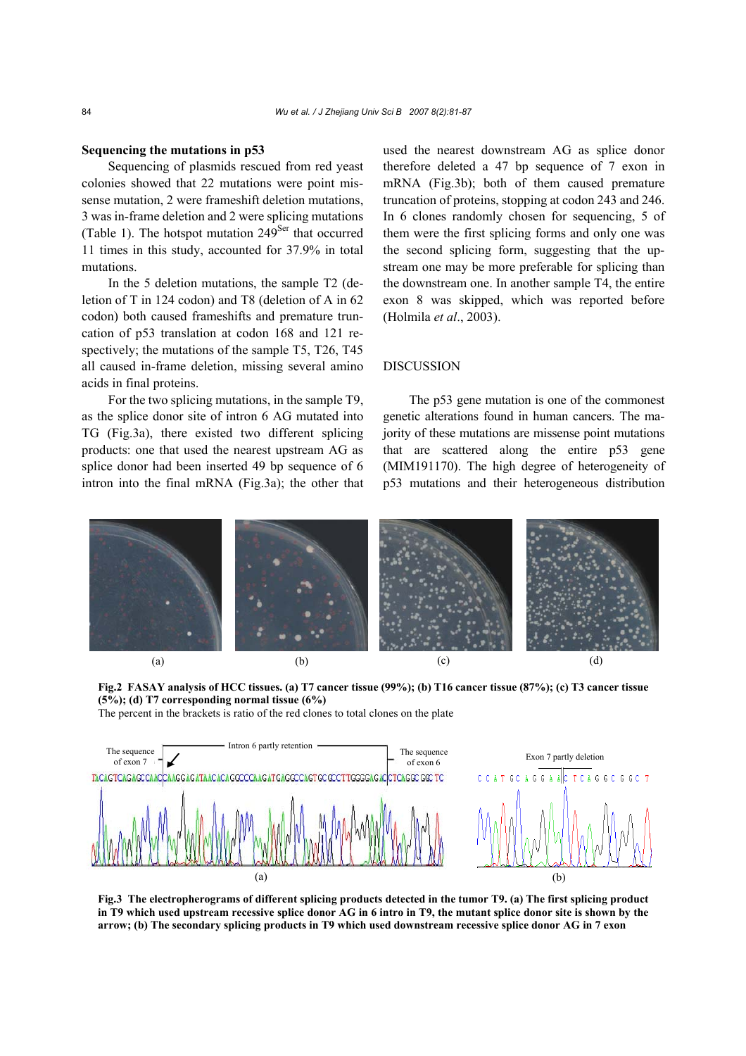#### **Sequencing the mutations in p53**

Sequencing of plasmids rescued from red yeast colonies showed that 22 mutations were point missense mutation, 2 were frameshift deletion mutations, 3 was in-frame deletion and 2 were splicing mutations (Table 1). The hotspot mutation  $249<sup>Ser</sup>$  that occurred 11 times in this study, accounted for 37.9% in total mutations.

In the 5 deletion mutations, the sample T2 (deletion of T in 124 codon) and T8 (deletion of A in 62 codon) both caused frameshifts and premature truncation of p53 translation at codon 168 and 121 respectively; the mutations of the sample T5, T26, T45 all caused in-frame deletion, missing several amino acids in final proteins.

For the two splicing mutations, in the sample T9, as the splice donor site of intron 6 AG mutated into TG (Fig.3a), there existed two different splicing products: one that used the nearest upstream AG as splice donor had been inserted 49 bp sequence of 6 intron into the final mRNA (Fig.3a); the other that used the nearest downstream AG as splice donor therefore deleted a 47 bp sequence of 7 exon in mRNA (Fig.3b); both of them caused premature truncation of proteins, stopping at codon 243 and 246. In 6 clones randomly chosen for sequencing, 5 of them were the first splicing forms and only one was the second splicing form, suggesting that the upstream one may be more preferable for splicing than the downstream one. In another sample T4, the entire exon 8 was skipped, which was reported before (Holmila *et al*., 2003).

## DISCUSSION

The p53 gene mutation is one of the commonest genetic alterations found in human cancers. The majority of these mutations are missense point mutations that are scattered along the entire p53 gene (MIM191170). The high degree of heterogeneity of p53 mutations and their heterogeneous distribution





The percent in the brackets is ratio of the red clones to total clones on the plate



**Fig.3 The electropherograms of different splicing products detected in the tumor T9. (a) The first splicing product in T9 which used upstream recessive splice donor AG in 6 intro in T9, the mutant splice donor site is shown by the arrow; (b) The secondary splicing products in T9 which used downstream recessive splice donor AG in 7 exon**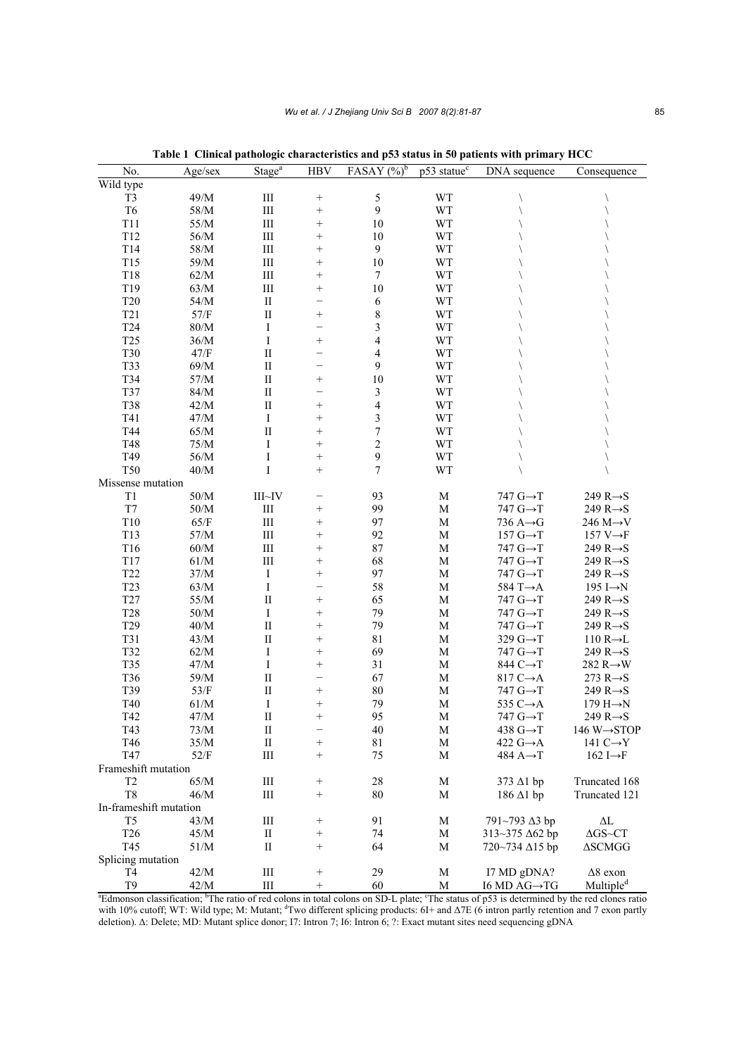| No.                                                                                                                                                                            | Age/sec | Stage $a$    | <b>HBV</b>      | FASAY $(\%)^b$           | p53 statue <sup>c</sup> | DNA sequence              | Consequence                    |
|--------------------------------------------------------------------------------------------------------------------------------------------------------------------------------|---------|--------------|-----------------|--------------------------|-------------------------|---------------------------|--------------------------------|
| Wild type                                                                                                                                                                      |         |              |                 |                          |                         |                           |                                |
| T <sub>3</sub>                                                                                                                                                                 | $49/M$  | $\rm III$    | $^{+}$          | $\sqrt{5}$               | WT                      |                           |                                |
| T <sub>6</sub>                                                                                                                                                                 | $58/M$  | $\rm III$    | $^{+}$          | 9                        | WT                      |                           |                                |
| T11                                                                                                                                                                            | 55/M    | Ш            | $^{+}$          | 10                       | WT                      |                           |                                |
| T12                                                                                                                                                                            | 56/M    | $\rm III$    | $^{+}$          | 10                       | WT                      |                           |                                |
| T14                                                                                                                                                                            | 58/M    | Ш            | $^{+}$          | $\mathbf{9}$             | WT                      |                           |                                |
| T15                                                                                                                                                                            | 59/M    | $\rm III$    | $^{+}$          | 10                       | WT                      |                           |                                |
| T18                                                                                                                                                                            | 62/M    | Ш            | $^{+}$          | $\tau$                   | WT                      |                           |                                |
| T19                                                                                                                                                                            | 63/M    | $\rm III$    | $^{+}$          | 10                       | WT                      |                           |                                |
| <b>T20</b>                                                                                                                                                                     | 54/M    | $\mathbf{I}$ | -               | 6                        | WT                      |                           |                                |
| T <sub>21</sub>                                                                                                                                                                | $57/F$  | $\rm II$     | $^{+}$          | $\,$ $\,$                | WT                      |                           |                                |
| T <sub>24</sub>                                                                                                                                                                | 80/M    | I            |                 | 3                        | WT                      |                           |                                |
| T <sub>25</sub>                                                                                                                                                                | 36/M    | I            | $^{+}$          | $\overline{4}$           | WT                      |                           |                                |
| <b>T30</b>                                                                                                                                                                     | 47/F    | $\rm II$     |                 | 4                        | WT                      |                           |                                |
| T33                                                                                                                                                                            | 69/M    | $\rm II$     |                 | 9                        | WT                      |                           |                                |
| T34                                                                                                                                                                            | $57/M$  | $\rm II$     | $^{+}$          | 10                       | WT                      |                           |                                |
| T37                                                                                                                                                                            | $84/M$  | $\rm II$     |                 | $\mathfrak{Z}$           | WT                      |                           |                                |
| <b>T38</b>                                                                                                                                                                     | 42/M    | $\rm II$     | $^{+}$          | $\overline{\mathcal{L}}$ | WT                      |                           |                                |
| T41                                                                                                                                                                            | 47/M    | Ι            | $^{+}$          | $\mathfrak{Z}$           | WT                      |                           |                                |
| T44                                                                                                                                                                            | 65/M    | $\rm II$     | $^{+}$          | $\overline{7}$           | WT                      |                           |                                |
| T48                                                                                                                                                                            | 75/M    | I            | $^{+}$          | $\overline{c}$           | WT                      |                           |                                |
| T49                                                                                                                                                                            | 56/M    | I            |                 | 9                        | WT                      |                           |                                |
| <b>T50</b>                                                                                                                                                                     | 40/M    | I            | $^{+}$          | 7                        | WT                      |                           |                                |
| Missense mutation                                                                                                                                                              |         |              |                 |                          |                         |                           |                                |
| T <sub>1</sub>                                                                                                                                                                 | $50/M$  | III~V        |                 | 93                       | M                       | 747 $G \rightarrow T$     | 249 $R \rightarrow S$          |
| T7                                                                                                                                                                             | 50/M    | $\rm III$    | $^{+}$          | 99                       | M                       | 747 $G \rightarrow T$     | 249 $R \rightarrow S$          |
| T10                                                                                                                                                                            | 65/F    | $\rm III$    | $^{+}$          | 97                       | $\mathbf M$             | 736 $A \rightarrow G$     | 246 $M \rightarrow V$          |
| T13                                                                                                                                                                            | 57/M    | $\rm III$    | $^{+}$          | 92                       | M                       | 157 $G \rightarrow T$     | 157 $V \rightarrow F$          |
| T <sub>16</sub>                                                                                                                                                                | 60/M    | $\rm III$    | $^{+}$          | 87                       | M                       | 747 $G \rightarrow T$     | 249 $R \rightarrow S$          |
| $\rm T17$                                                                                                                                                                      | 61/M    | $\rm III$    | $^{+}$          | 68                       | M                       | 747 $G\rightarrow T$      | 249 $R \rightarrow S$          |
| T <sub>22</sub>                                                                                                                                                                | 37/M    | $\mathbf I$  | $^{+}$          | 97                       | $\mathbf M$             | 747 $G \rightarrow T$     | 249 $R \rightarrow S$          |
| T <sub>23</sub>                                                                                                                                                                | 63/M    | I            |                 | 58                       | M                       | 584 T $\rightarrow$ A     | 195 I $\rightarrow$ N          |
| T <sub>27</sub>                                                                                                                                                                | 55/M    | $\rm II$     | $^{+}$          | 65                       | M                       | 747 $G \rightarrow T$     | 249 $R \rightarrow S$          |
| <b>T28</b>                                                                                                                                                                     | 50/M    | I            | $^{+}$          | 79                       | $\mathbf M$             | 747 $G \rightarrow T$     | 249 $R \rightarrow S$          |
| T <sub>29</sub>                                                                                                                                                                | 40/M    | $\rm II$     | $^{+}$          | 79                       | M                       | 747 $G \rightarrow T$     | 249 $R \rightarrow S$          |
| T31                                                                                                                                                                            | 43/M    | $\rm II$     | $^{+}$          | 81                       | M                       | 329 $G \rightarrow T$     | $110 R \rightarrow L$          |
| T32                                                                                                                                                                            | 62/M    | I            | $^{+}$          | 69                       | M                       | 747 $G \rightarrow T$     | 249 $R \rightarrow S$          |
| T35                                                                                                                                                                            | 47/M    | $\mathbf I$  | $^{+}$          | 31                       | $\mathbf M$             | 844 C→T                   | 282 $R \rightarrow W$          |
| T36                                                                                                                                                                            | 59/M    | $\mathbf{I}$ |                 | 67                       | $\mathbf M$             | 817 $C \rightarrow A$     | 273 $R \rightarrow S$          |
| T39                                                                                                                                                                            | 53/F    | $\mathbf{I}$ | $^{+}$          | 80                       | M                       | 747 $G \rightarrow T$     | 249 $R \rightarrow S$          |
| T40                                                                                                                                                                            | 61/M    | I            | $^{+}$          | 79                       | M                       | 535 $C \rightarrow A$     | 179 $H \rightarrow N$          |
| T42                                                                                                                                                                            | 47/M    | $\rm II$     | $^{+}$          | 95                       | M                       | 747 $G \rightarrow T$     | 249 $R \rightarrow S$          |
| T43                                                                                                                                                                            | 73/M    | П            | -               | 40                       | M                       | 438 $G \rightarrow T$     | 146 W $\rightarrow$ STOP       |
| T46                                                                                                                                                                            | 35/M    | $\rm II$     | $^{+}$          | 81                       | M                       | 422 $G \rightarrow A$     | 141 $C \rightarrow Y$          |
| T47                                                                                                                                                                            | 52/F    | Ш            | $^{+}$          | 75                       | M                       | 484 $A \rightarrow T$     | 162 I $\rightarrow$ F          |
| Frameshift mutation                                                                                                                                                            |         |              |                 |                          |                         |                           |                                |
| T <sub>2</sub>                                                                                                                                                                 | 65/M    | Ш            | $^{+}$          | 28                       | M                       | $373$ $\Delta$ 1 bp       | Truncated 168                  |
| T <sub>8</sub>                                                                                                                                                                 | 46/M    | Ш            | $^{+}$          | 80                       | M                       | $186 \Delta1$ bp          | Truncated 121                  |
| In-frameshift mutation                                                                                                                                                         |         |              |                 |                          |                         |                           |                                |
| T <sub>5</sub>                                                                                                                                                                 | 43/M    | Ш            | $^{+}$          | 91                       | M                       | 791~793∆3 bp              | $\Delta L$                     |
| T <sub>26</sub>                                                                                                                                                                | 45/M    | П            | $\! +$          | 74                       | M                       | $313 - 375 \Delta 62$ bp  | $\Delta{\rm GS}{\sim}C{\rm T}$ |
| T45                                                                                                                                                                            | 51/M    | П            | $\! + \!\!\!\!$ | 64                       | M                       | 720~734 ∆15 bp            | <b>ASCMGG</b>                  |
| Splicing mutation                                                                                                                                                              |         |              |                 |                          |                         |                           |                                |
| T <sub>4</sub>                                                                                                                                                                 | 42/M    | Ш            | $^{+}$          | 29                       | M                       | I7 MD gDNA?               | $\Delta 8$ exon                |
| T <sub>9</sub>                                                                                                                                                                 | 42/M    | Ш            | $\! + \!$       | 60                       | M                       | I6 MD $AG \rightarrow TG$ | Multiple <sup>d</sup>          |
| <sup>a</sup> Edmonson classification; <sup>b</sup> The ratio of red colons in total colons on SD-L plate; <sup>c</sup> The status of p53 is determined by the red clones ratio |         |              |                 |                          |                         |                           |                                |

**Table 1 Clinical pathologic characteristics and p53 status in 50 patients with primary HCC** 

with 10% cutoff; WT: Wild type; M: Mutant; <sup>d</sup>Two different splicing products: 6I+ and Δ7E (6 intron partly retention and 7 exon partly deletion). ∆: Delete; MD: Mutant splice donor; I7: Intron 7; I6: Intron 6; ?: Exact mutant sites need sequencing gDNA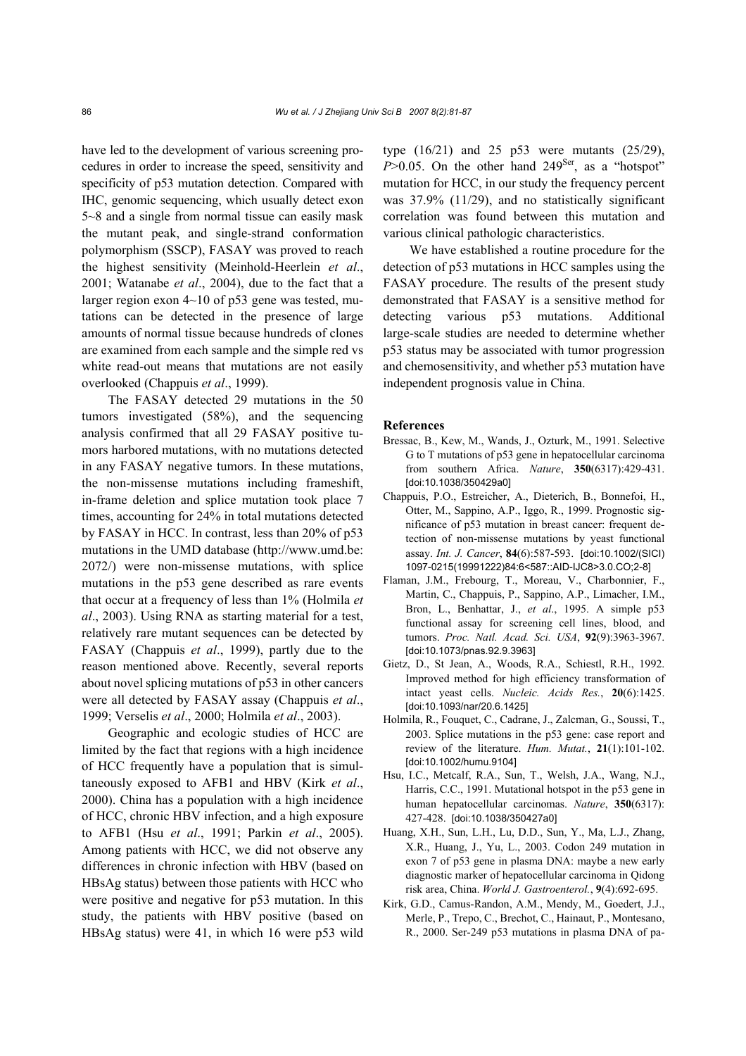have led to the development of various screening procedures in order to increase the speed, sensitivity and specificity of p53 mutation detection. Compared with IHC, genomic sequencing, which usually detect exon 5~8 and a single from normal tissue can easily mask the mutant peak, and single-strand conformation polymorphism (SSCP), FASAY was proved to reach the highest sensitivity (Meinhold-Heerlein *et al*., 2001; Watanabe *et al*., 2004), due to the fact that a larger region exon 4~10 of p53 gene was tested, mutations can be detected in the presence of large amounts of normal tissue because hundreds of clones are examined from each sample and the simple red vs white read-out means that mutations are not easily overlooked (Chappuis *et al*., 1999).

The FASAY detected 29 mutations in the 50 tumors investigated (58%), and the sequencing analysis confirmed that all 29 FASAY positive tumors harbored mutations, with no mutations detected in any FASAY negative tumors. In these mutations, the non-missense mutations including frameshift, in-frame deletion and splice mutation took place 7 times, accounting for 24% in total mutations detected by FASAY in HCC. In contrast, less than 20% of p53 mutations in the UMD database (http://www.umd.be: 2072/) were non-missense mutations, with splice mutations in the p53 gene described as rare events that occur at a frequency of less than 1% (Holmila *et al*., 2003). Using RNA as starting material for a test, relatively rare mutant sequences can be detected by FASAY (Chappuis *et al*., 1999), partly due to the reason mentioned above. Recently, several reports about novel splicing mutations of p53 in other cancers were all detected by FASAY assay (Chappuis *et al*., 1999; Verselis *et al*., 2000; Holmila *et al*., 2003).

Geographic and ecologic studies of HCC are limited by the fact that regions with a high incidence of HCC frequently have a population that is simultaneously exposed to AFB1 and HBV (Kirk *et al*., 2000). China has a population with a high incidence of HCC, chronic HBV infection, and a high exposure to AFB1 (Hsu *et al*., 1991; Parkin *et al*., 2005). Among patients with HCC, we did not observe any differences in chronic infection with HBV (based on HBsAg status) between those patients with HCC who were positive and negative for p53 mutation. In this study, the patients with HBV positive (based on HBsAg status) were 41, in which 16 were p53 wild type (16/21) and 25 p53 were mutants (25/29),  $P > 0.05$ . On the other hand 249<sup>Ser</sup>, as a "hotspot" mutation for HCC, in our study the frequency percent was 37.9% (11/29), and no statistically significant correlation was found between this mutation and various clinical pathologic characteristics.

We have established a routine procedure for the detection of p53 mutations in HCC samples using the FASAY procedure. The results of the present study demonstrated that FASAY is a sensitive method for detecting various p53 mutations. Additional large-scale studies are needed to determine whether p53 status may be associated with tumor progression and chemosensitivity, and whether p53 mutation have independent prognosis value in China.

## **References**

- Bressac, B., Kew, M., Wands, J., Ozturk, M., 1991. Selective G to T mutations of p53 gene in hepatocellular carcinoma from southern Africa. *Nature*, **350**(6317):429-431. [doi:10.1038/350429a0]
- Chappuis, P.O., Estreicher, A., Dieterich, B., Bonnefoi, H., Otter, M., Sappino, A.P., Iggo, R., 1999. Prognostic significance of p53 mutation in breast cancer: frequent detection of non-missense mutations by yeast functional assay. *Int. J. Cancer*, **84**(6):587-593. [doi:10.1002/(SICI) 1097-0215(19991222)84:6<587::AID-IJC8>3.0.CO;2-8]
- Flaman, J.M., Frebourg, T., Moreau, V., Charbonnier, F., Martin, C., Chappuis, P., Sappino, A.P., Limacher, I.M., Bron, L., Benhattar, J., *et al*., 1995. A simple p53 functional assay for screening cell lines, blood, and tumors. *Proc. Natl. Acad. Sci. USA*, **92**(9):3963-3967. [doi:10.1073/pnas.92.9.3963]
- Gietz, D., St Jean, A., Woods, R.A., Schiestl, R.H., 1992. Improved method for high efficiency transformation of intact yeast cells. *Nucleic. Acids Res.*, **20**(6):1425. [doi:10.1093/nar/20.6.1425]
- Holmila, R., Fouquet, C., Cadrane, J., Zalcman, G., Soussi, T., 2003. Splice mutations in the p53 gene: case report and review of the literature. *Hum. Mutat.*, **21**(1):101-102. [doi:10.1002/humu.9104]
- Hsu, I.C., Metcalf, R.A., Sun, T., Welsh, J.A., Wang, N.J., Harris, C.C., 1991. Mutational hotspot in the p53 gene in human hepatocellular carcinomas. *Nature*, **350**(6317): 427-428. [doi:10.1038/350427a0]
- Huang, X.H., Sun, L.H., Lu, D.D., Sun, Y., Ma, L.J., Zhang, X.R., Huang, J., Yu, L., 2003. Codon 249 mutation in exon 7 of p53 gene in plasma DNA: maybe a new early diagnostic marker of hepatocellular carcinoma in Qidong risk area, China. *World J. Gastroenterol.*, **9**(4):692-695.
- Kirk, G.D., Camus-Randon, A.M., Mendy, M., Goedert, J.J., Merle, P., Trepo, C., Brechot, C., Hainaut, P., Montesano, R., 2000. Ser-249 p53 mutations in plasma DNA of pa-